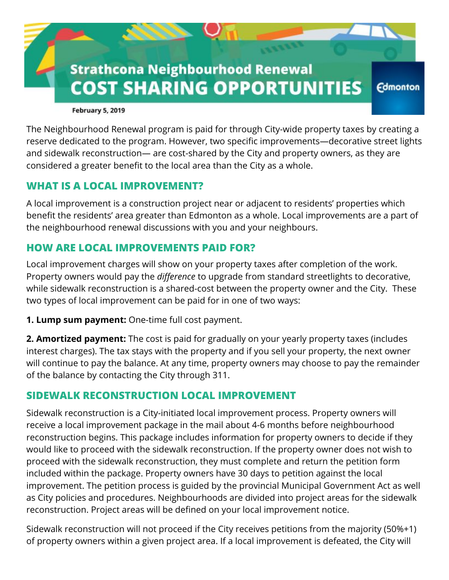

**February 5, 2019** 

The Neighbourhood Renewal program is paid for through City-wide property taxes by creating a reserve dedicated to the program. However, two specific improvements—decorative street lights and sidewalk reconstruction— are cost-shared by the City and property owners, as they are considered a greater benefit to the local area than the City as a whole.

## **WHAT IS A LOCAL IMPROVEMENT?**

A local improvement is a construction project near or adjacent to residents' properties which benefit the residents' area greater than Edmonton as a whole. Local improvements are a part of the neighbourhood renewal discussions with you and your neighbours.

## **HOW ARE LOCAL IMPROVEMENTS PAID FOR?**

Local improvement charges will show on your property taxes after completion of the work. Property owners would pay the *difference* to upgrade from standard streetlights to decorative, while sidewalk reconstruction is a shared-cost between the property owner and the City. These two types of local improvement can be paid for in one of two ways:

**1. Lump sum payment:** One-time full cost payment.

**2. Amortized payment:** The cost is paid for gradually on your yearly property taxes (includes interest charges). The tax stays with the property and if you sell your property, the next owner will continue to pay the balance. At any time, property owners may choose to pay the remainder of the balance by contacting the City through 311.

## **SIDEWALK RECONSTRUCTION LOCAL IMPROVEMENT**

Sidewalk reconstruction is a City-initiated local improvement process. Property owners will receive a local improvement package in the mail about 4-6 months before neighbourhood reconstruction begins. This package includes information for property owners to decide if they would like to proceed with the sidewalk reconstruction. If the property owner does not wish to proceed with the sidewalk reconstruction, they must complete and return the petition form included within the package. Property owners have 30 days to petition against the local improvement. The petition process is guided by the provincial Municipal Government Act as well as City policies and procedures. Neighbourhoods are divided into project areas for the sidewalk reconstruction. Project areas will be defined on your local improvement notice.

Sidewalk reconstruction will not proceed if the City receives petitions from the majority (50%+1) of property owners within a given project area. If a local improvement is defeated, the City will